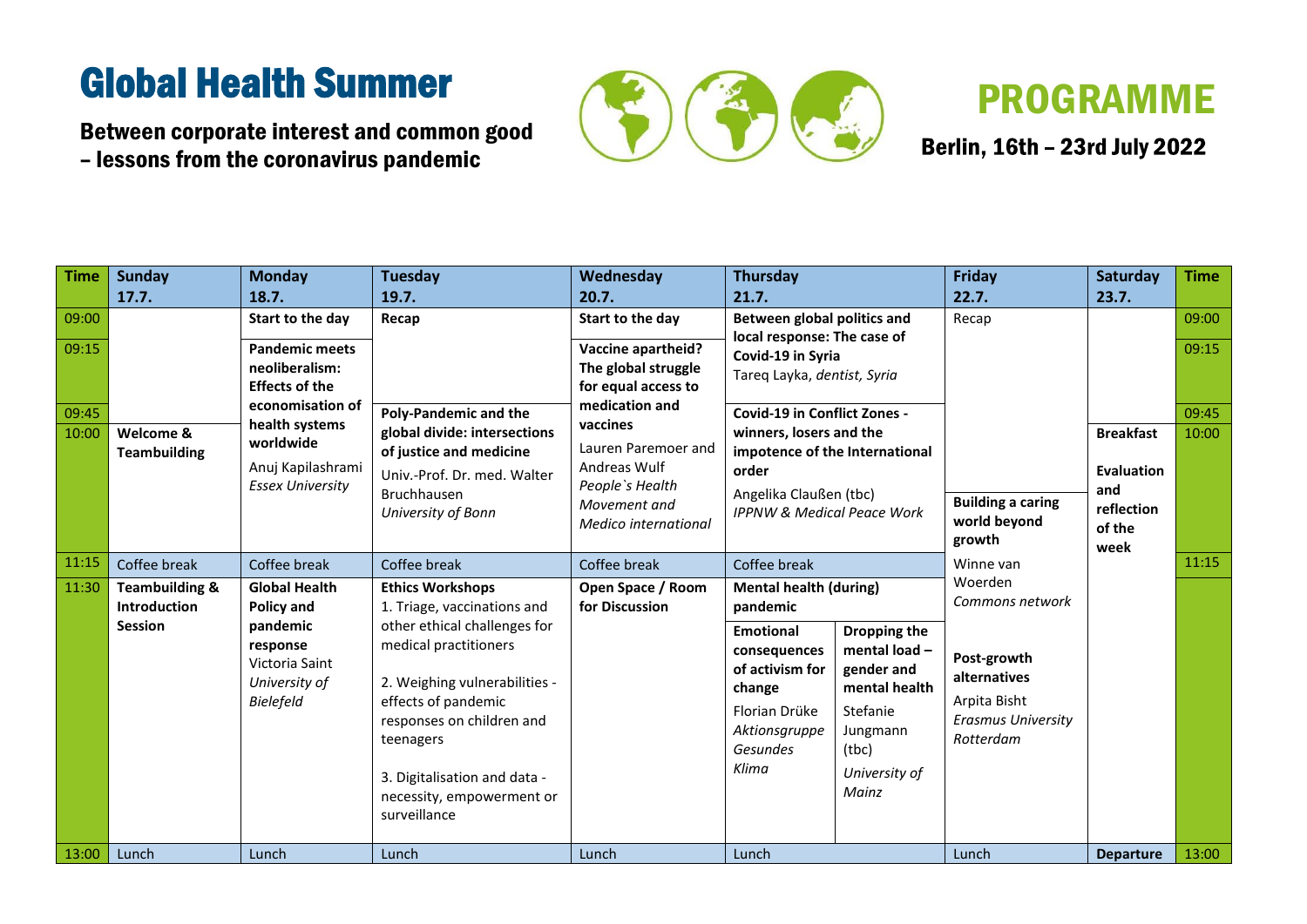Between corporate interest and common good – lessons from the coronavirus pandemic



Berlin, 16th - 23rd July 2022

| <b>Time</b>    | <b>Sunday</b>                                                       | <b>Monday</b>                                                        | <b>Tuesday</b>                                                                                                                                                                                                                       | Wednesday                                                                                                  | <b>Thursday</b>                                                                                                      |                                                                                                                        | Friday                                                                                | <b>Saturday</b>  | <b>Time</b>    |
|----------------|---------------------------------------------------------------------|----------------------------------------------------------------------|--------------------------------------------------------------------------------------------------------------------------------------------------------------------------------------------------------------------------------------|------------------------------------------------------------------------------------------------------------|----------------------------------------------------------------------------------------------------------------------|------------------------------------------------------------------------------------------------------------------------|---------------------------------------------------------------------------------------|------------------|----------------|
|                | 17.7.                                                               | 18.7.                                                                | 19.7.                                                                                                                                                                                                                                | 20.7.                                                                                                      | 21.7.                                                                                                                |                                                                                                                        | 22.7.                                                                                 | 23.7.            |                |
| 09:00          |                                                                     | Start to the day                                                     | Recap                                                                                                                                                                                                                                | Start to the day                                                                                           | Between global politics and                                                                                          |                                                                                                                        | Recap                                                                                 |                  | 09:00          |
| 09:15          |                                                                     | <b>Pandemic meets</b><br>neoliberalism:<br><b>Effects of the</b>     | <b>Poly-Pandemic and the</b><br>global divide: intersections                                                                                                                                                                         | <b>Vaccine apartheid?</b><br>The global struggle<br>for equal access to<br>medication and<br>vaccines      | local response: The case of<br>Covid-19 in Syria<br>Tareq Layka, dentist, Syria                                      |                                                                                                                        |                                                                                       |                  | 09:15          |
| 09:45<br>10:00 | Welcome &                                                           | economisation of<br>health systems<br>worldwide                      |                                                                                                                                                                                                                                      |                                                                                                            | <b>Covid-19 in Conflict Zones -</b><br>winners, losers and the                                                       |                                                                                                                        |                                                                                       | <b>Breakfast</b> | 09:45<br>10:00 |
|                | <b>Teambuilding</b><br>Anuj Kapilashrami<br><b>Essex University</b> | of justice and medicine<br>Univ.-Prof. Dr. med. Walter               | Lauren Paremoer and<br>Andreas Wulf<br>People's Health<br>Movement and<br>Medico international                                                                                                                                       | impotence of the International<br>order<br>Angelika Claußen (tbc)<br><b>IPPNW &amp; Medical Peace Work</b> |                                                                                                                      | <b>Building a caring</b><br>world beyond<br>growth                                                                     | <b>Evaluation</b>                                                                     |                  |                |
|                |                                                                     | <b>Bruchhausen</b><br>University of Bonn                             |                                                                                                                                                                                                                                      |                                                                                                            |                                                                                                                      |                                                                                                                        | and<br>reflection<br>of the<br>week                                                   |                  |                |
| 11:15          | Coffee break                                                        | Coffee break                                                         | Coffee break                                                                                                                                                                                                                         | Coffee break                                                                                               | Coffee break<br><b>Mental health (during)</b><br>pandemic                                                            |                                                                                                                        | Winne van<br>Woerden<br>Commons network                                               |                  | 11:15          |
| 11:30          | <b>Teambuilding &amp;</b><br><b>Introduction</b>                    | <b>Global Health</b><br><b>Policy and</b>                            | <b>Ethics Workshops</b><br>1. Triage, vaccinations and                                                                                                                                                                               | Open Space / Room<br>for Discussion                                                                        |                                                                                                                      |                                                                                                                        |                                                                                       |                  |                |
|                | <b>Session</b>                                                      | pandemic<br>response<br>Victoria Saint<br>University of<br>Bielefeld | other ethical challenges for<br>medical practitioners<br>2. Weighing vulnerabilities -<br>effects of pandemic<br>responses on children and<br>teenagers<br>3. Digitalisation and data -<br>necessity, empowerment or<br>surveillance |                                                                                                            | <b>Emotional</b><br>consequences<br>of activism for<br>change<br>Florian Drüke<br>Aktionsgruppe<br>Gesundes<br>Klima | Dropping the<br>mental load-<br>gender and<br>mental health<br>Stefanie<br>Jungmann<br>(tbc)<br>University of<br>Mainz | Post-growth<br>alternatives<br>Arpita Bisht<br><b>Erasmus University</b><br>Rotterdam |                  |                |
| 13:00          | Lunch                                                               | Lunch                                                                | Lunch                                                                                                                                                                                                                                | Lunch                                                                                                      | Lunch                                                                                                                |                                                                                                                        | Lunch                                                                                 | <b>Departure</b> | 13:00          |